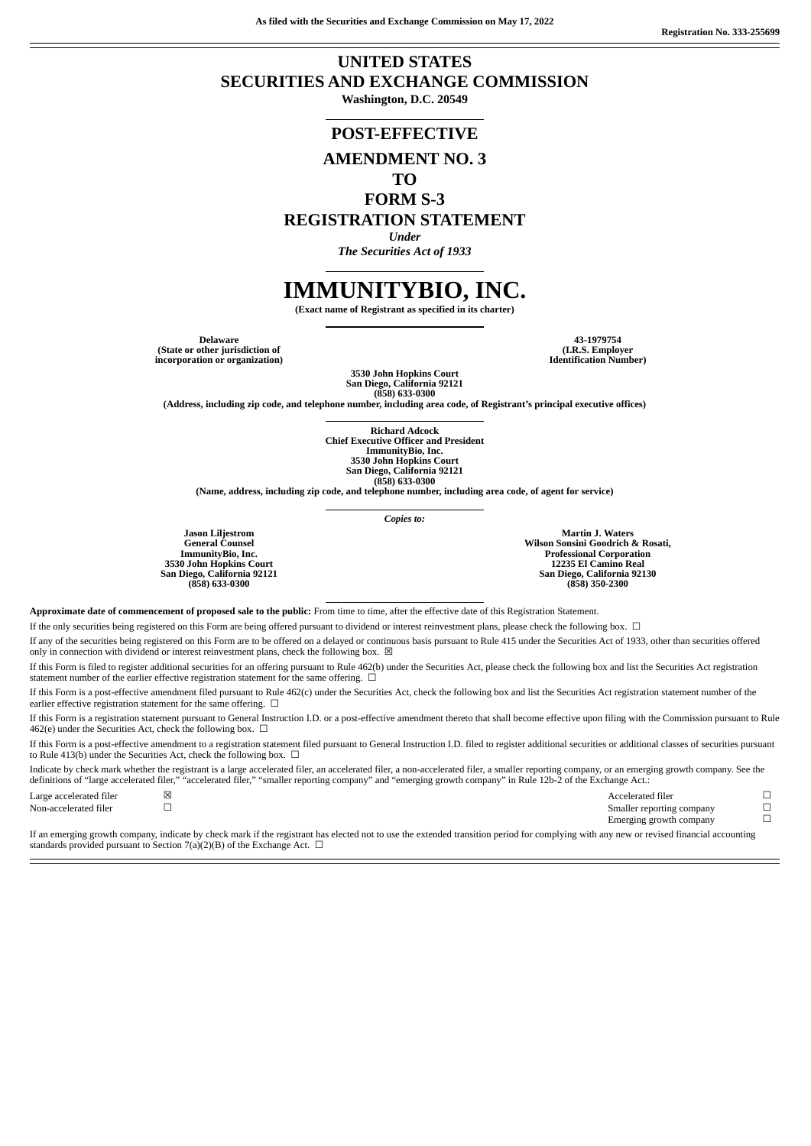**As filed with the Securities and Exchange Commission on May 17, 2022**

## **UNITED STATES SECURITIES AND EXCHANGE COMMISSION**

**Washington, D.C. 20549**

## **POST-EFFECTIVE**

## **AMENDMENT NO. 3**

#### **TO**

### **FORM S-3**

## **REGISTRATION STATEMENT**

*Under*

*The Securities Act of 1933*

# **IMMUNITYBIO, INC.**

**(Exact name of Registrant as specified in its charter)**

**Delaware 43-1979754 (State or other jurisdiction of incorporation or organization)**

**(I.R.S. Employer Identification Number)**

**3530 John Hopkins Court San Diego, California 92121 (858) 633-0300**

**(Address, including zip code, and telephone number, including area code, of Registrant's principal executive offices)**

**Richard Adcock Chief Executive Officer and President ImmunityBio, Inc. 3530 John Hopkins Court San Diego, California 92121 (858) 633-0300**

**(Name, address, including zip code, and telephone number, including area code, of agent for service)**

*Copies to:*

**Jason Liljestrom General Counsel ImmunityBio, Inc. 3530 John Hopkins Court San Diego, California 92121 (858) 633-0300**

**Martin J. Waters Wilson Sonsini Goodrich & Rosati, Professional Corporation 12235 El Camino Real San Diego, California 92130 (858) 350-2300**

**Approximate date of commencement of proposed sale to the public:** From time to time, after the effective date of this Registration Statement.

If the only securities being registered on this Form are being offered pursuant to dividend or interest reinvestment plans, please check the following box. ☐

If any of the securities being registered on this Form are to be offered on a delayed or continuous basis pursuant to Rule 415 under the Securities Act of 1933, other than securities offered only in connection with dividend or interest reinvestment plans, check the following box.  $\boxtimes$ 

If this Form is filed to register additional securities for an offering pursuant to Rule 462(b) under the Securities Act, please check the following box and list the Securities Act registration statement number of the earlier effective registration statement for the same offering.  $\Box$ 

If this Form is a post-effective amendment filed pursuant to Rule 462(c) under the Securities Act, check the following box and list the Securities Act registration statement number of the earlier effective registration statement for the same offering.  $\Box$ 

If this Form is a registration statement pursuant to General Instruction I.D. or a post-effective amendment thereto that shall become effective upon filing with the Commission pursuant to Rule 462(e) under the Securities Act, check the following box.  $\Box$ 

If this Form is a post-effective amendment to a registration statement filed pursuant to General Instruction I.D. filed to register additional securities or additional classes of securities pursuant to Rule 413(b) under the Securities Act, check the following box.  $\Box$ 

Indicate by check mark whether the registrant is a large accelerated filer, an accelerated filer, a non-accelerated filer, a smaller reporting company, or an emerging growth company. See the<br>definitions of "large accelerat

Large accelerated filer ☒ Accelerated filer ☐ Non-accelerated filer ☐ Smaller reporting company ☐ Emerging growth company

If an emerging growth company, indicate by check mark if the registrant has elected not to use the extended transition period for complying with any new or revised financial accounting standards provided pursuant to Section  $7(a)(2)(B)$  of the Exchange Act.  $\Box$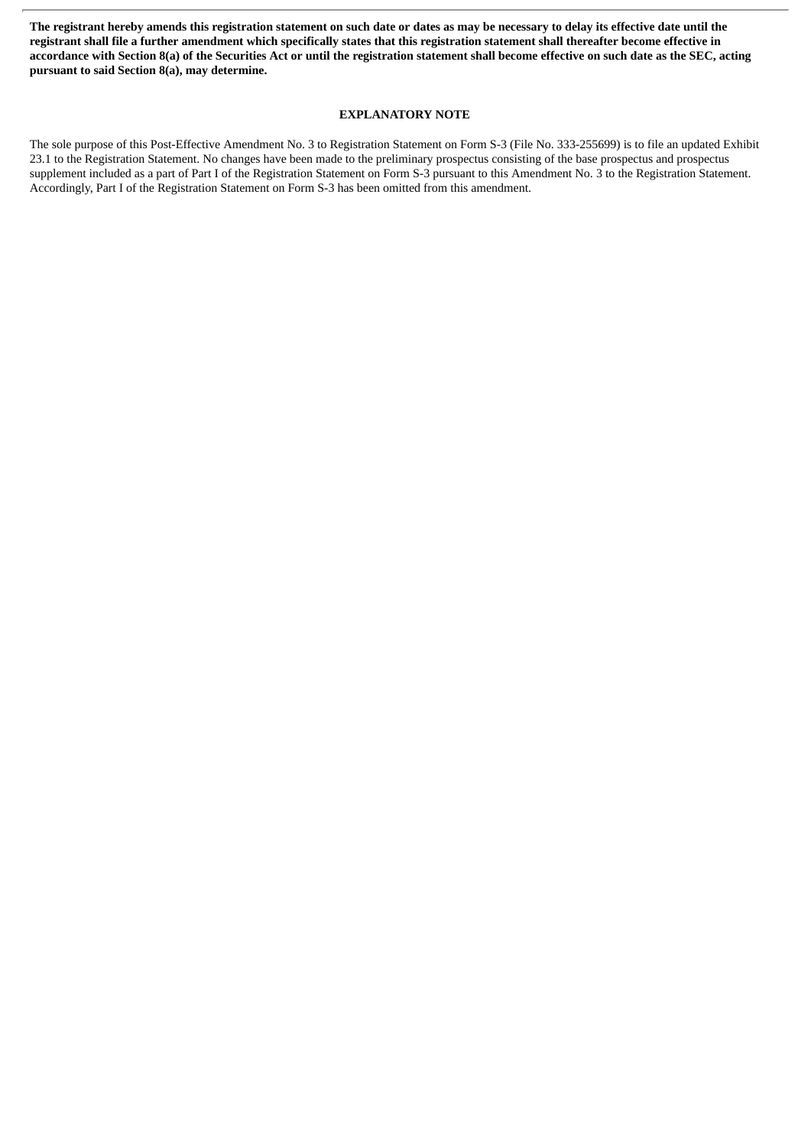The registrant hereby amends this registration statement on such date or dates as may be necessary to delay its effective date until the registrant shall file a further amendment which specifically states that this registration statement shall thereafter become effective in accordance with Section 8(a) of the Securities Act or until the registration statement shall become effective on such date as the SEC, acting **pursuant to said Section 8(a), may determine.**

#### **EXPLANATORY NOTE**

The sole purpose of this Post-Effective Amendment No. 3 to Registration Statement on Form S-3 (File No. 333-255699) is to file an updated Exhibit 23.1 to the Registration Statement. No changes have been made to the preliminary prospectus consisting of the base prospectus and prospectus supplement included as a part of Part I of the Registration Statement on Form S-3 pursuant to this Amendment No. 3 to the Registration Statement. Accordingly, Part I of the Registration Statement on Form S-3 has been omitted from this amendment.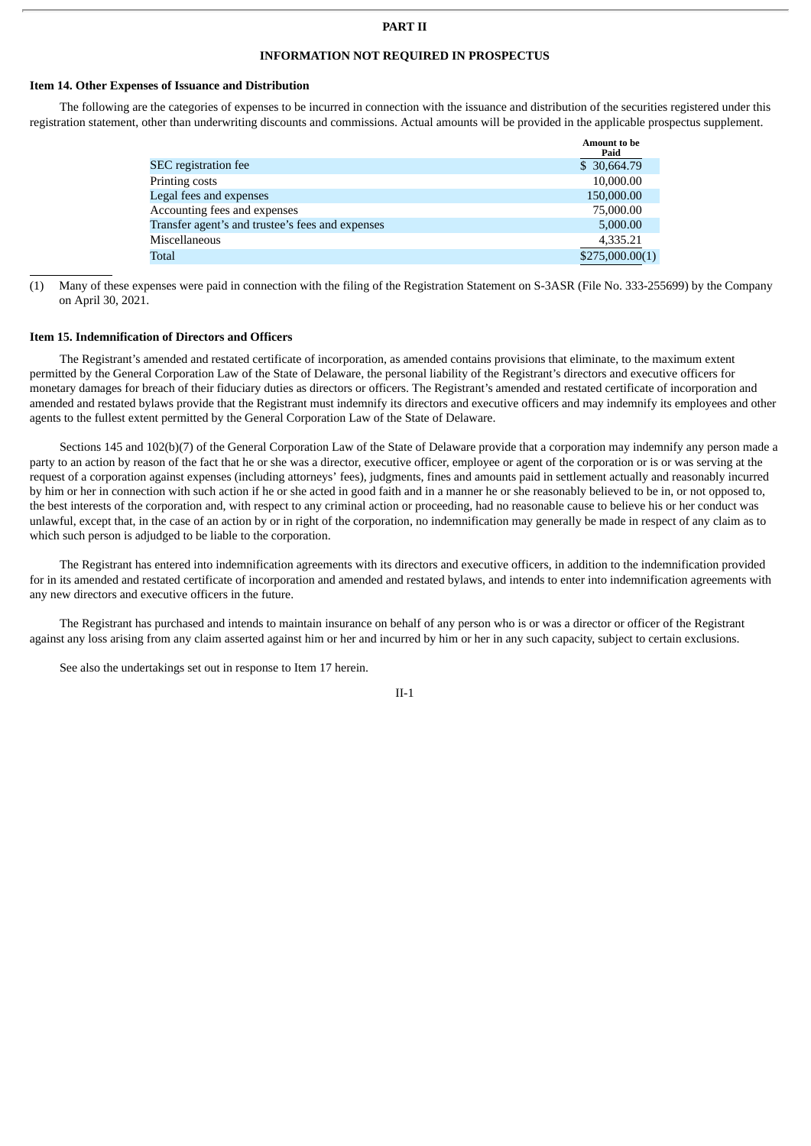#### **PART II**

#### **INFORMATION NOT REQUIRED IN PROSPECTUS**

#### **Item 14. Other Expenses of Issuance and Distribution**

The following are the categories of expenses to be incurred in connection with the issuance and distribution of the securities registered under this registration statement, other than underwriting discounts and commissions. Actual amounts will be provided in the applicable prospectus supplement.

|                                                  | <b>Amount to be</b><br>Paid |
|--------------------------------------------------|-----------------------------|
| SEC registration fee                             | \$ 30,664.79                |
| Printing costs                                   | 10,000.00                   |
| Legal fees and expenses                          | 150,000.00                  |
| Accounting fees and expenses                     | 75,000.00                   |
| Transfer agent's and trustee's fees and expenses | 5,000.00                    |
| Miscellaneous                                    | 4,335.21                    |
| Total                                            | \$275,000.00(1)             |
|                                                  |                             |

(1) Many of these expenses were paid in connection with the filing of the Registration Statement on S-3ASR (File No. 333-255699) by the Company on April 30, 2021.

#### **Item 15. Indemnification of Directors and Officers**

The Registrant's amended and restated certificate of incorporation, as amended contains provisions that eliminate, to the maximum extent permitted by the General Corporation Law of the State of Delaware, the personal liability of the Registrant's directors and executive officers for monetary damages for breach of their fiduciary duties as directors or officers. The Registrant's amended and restated certificate of incorporation and amended and restated bylaws provide that the Registrant must indemnify its directors and executive officers and may indemnify its employees and other agents to the fullest extent permitted by the General Corporation Law of the State of Delaware.

Sections 145 and 102(b)(7) of the General Corporation Law of the State of Delaware provide that a corporation may indemnify any person made a party to an action by reason of the fact that he or she was a director, executive officer, employee or agent of the corporation or is or was serving at the request of a corporation against expenses (including attorneys' fees), judgments, fines and amounts paid in settlement actually and reasonably incurred by him or her in connection with such action if he or she acted in good faith and in a manner he or she reasonably believed to be in, or not opposed to, the best interests of the corporation and, with respect to any criminal action or proceeding, had no reasonable cause to believe his or her conduct was unlawful, except that, in the case of an action by or in right of the corporation, no indemnification may generally be made in respect of any claim as to which such person is adjudged to be liable to the corporation.

The Registrant has entered into indemnification agreements with its directors and executive officers, in addition to the indemnification provided for in its amended and restated certificate of incorporation and amended and restated bylaws, and intends to enter into indemnification agreements with any new directors and executive officers in the future.

The Registrant has purchased and intends to maintain insurance on behalf of any person who is or was a director or officer of the Registrant against any loss arising from any claim asserted against him or her and incurred by him or her in any such capacity, subject to certain exclusions.

See also the undertakings set out in response to Item 17 herein.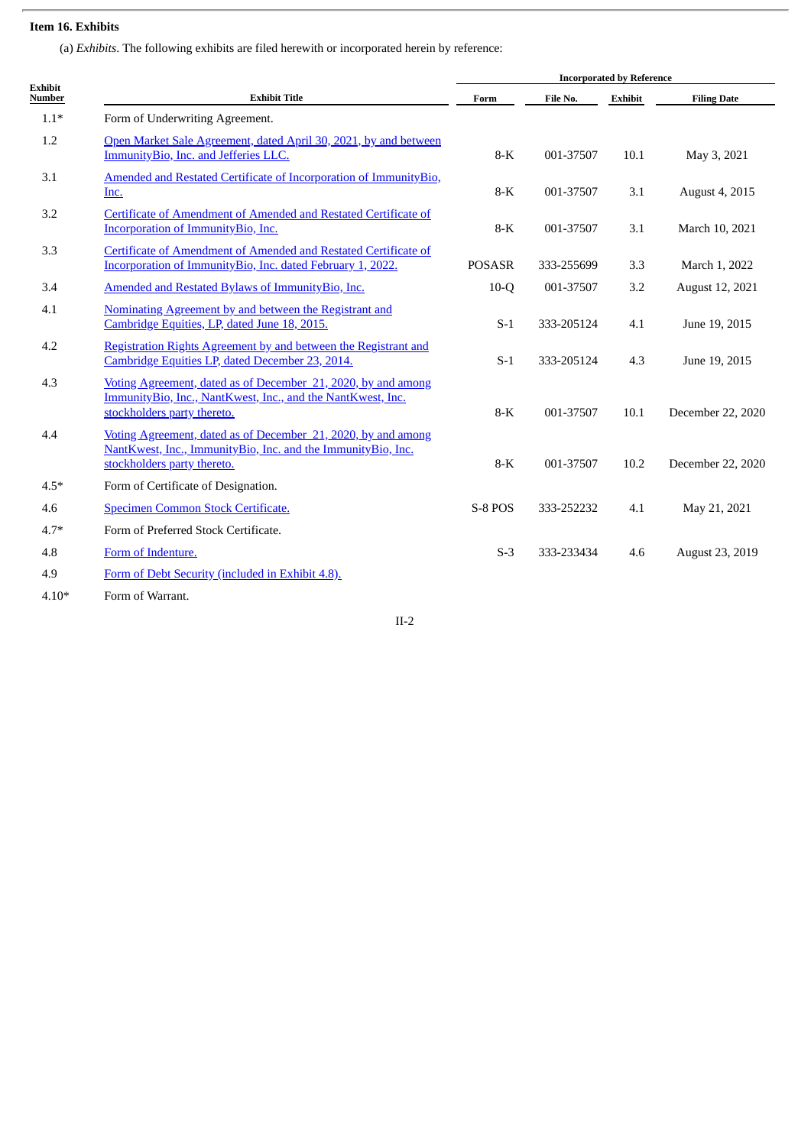## **Item 16. Exhibits**

(a) *Exhibits*. The following exhibits are filed herewith or incorporated herein by reference:

|                          |                                                                                                                                                              | <b>Incorporated by Reference</b> |            |         |                    |
|--------------------------|--------------------------------------------------------------------------------------------------------------------------------------------------------------|----------------------------------|------------|---------|--------------------|
| <b>Exhibit</b><br>Number | <b>Exhibit Title</b>                                                                                                                                         | Form                             | File No.   | Exhibit | <b>Filing Date</b> |
| $1.1*$                   | Form of Underwriting Agreement.                                                                                                                              |                                  |            |         |                    |
| 1.2                      | Open Market Sale Agreement, dated April 30, 2021, by and between<br>ImmunityBio, Inc. and Jefferies LLC.                                                     | $8-K$                            | 001-37507  | 10.1    | May 3, 2021        |
| 3.1                      | Amended and Restated Certificate of Incorporation of ImmunityBio,<br>Inc.                                                                                    | $8-K$                            | 001-37507  | 3.1     | August 4, 2015     |
| 3.2                      | Certificate of Amendment of Amended and Restated Certificate of<br>Incorporation of ImmunityBio, Inc.                                                        | $8-K$                            | 001-37507  | 3.1     | March 10, 2021     |
| 3.3                      | Certificate of Amendment of Amended and Restated Certificate of<br>Incorporation of ImmunityBio, Inc. dated February 1, 2022.                                | <b>POSASR</b>                    | 333-255699 | 3.3     | March 1, 2022      |
| 3.4                      | Amended and Restated Bylaws of ImmunityBio, Inc.                                                                                                             | $10-Q$                           | 001-37507  | 3.2     | August 12, 2021    |
| 4.1                      | Nominating Agreement by and between the Registrant and<br>Cambridge Equities, LP, dated June 18, 2015.                                                       | $S-1$                            | 333-205124 | 4.1     | June 19, 2015      |
| 4.2                      | Registration Rights Agreement by and between the Registrant and<br>Cambridge Equities LP, dated December 23, 2014.                                           | $S-1$                            | 333-205124 | 4.3     | June 19, 2015      |
| 4.3                      | Voting Agreement, dated as of December 21, 2020, by and among<br>ImmunityBio, Inc., NantKwest, Inc., and the NantKwest, Inc.<br>stockholders party thereto.  | $8-K$                            | 001-37507  | 10.1    | December 22, 2020  |
| 4.4                      | Voting Agreement, dated as of December 21, 2020, by and among<br>NantKwest, Inc., ImmunityBio, Inc. and the ImmunityBio, Inc.<br>stockholders party thereto. | $8-K$                            | 001-37507  | 10.2    | December 22, 2020  |
| $4.5*$                   | Form of Certificate of Designation.                                                                                                                          |                                  |            |         |                    |
| 4.6                      | Specimen Common Stock Certificate.                                                                                                                           | S-8 POS                          | 333-252232 | 4.1     | May 21, 2021       |
| $4.7*$                   | Form of Preferred Stock Certificate.                                                                                                                         |                                  |            |         |                    |
| 4.8                      | Form of Indenture.                                                                                                                                           | $S-3$                            | 333-233434 | 4.6     | August 23, 2019    |
| 4.9                      | Form of Debt Security (included in Exhibit 4.8).                                                                                                             |                                  |            |         |                    |
| $4.10*$                  | Form of Warrant.                                                                                                                                             |                                  |            |         |                    |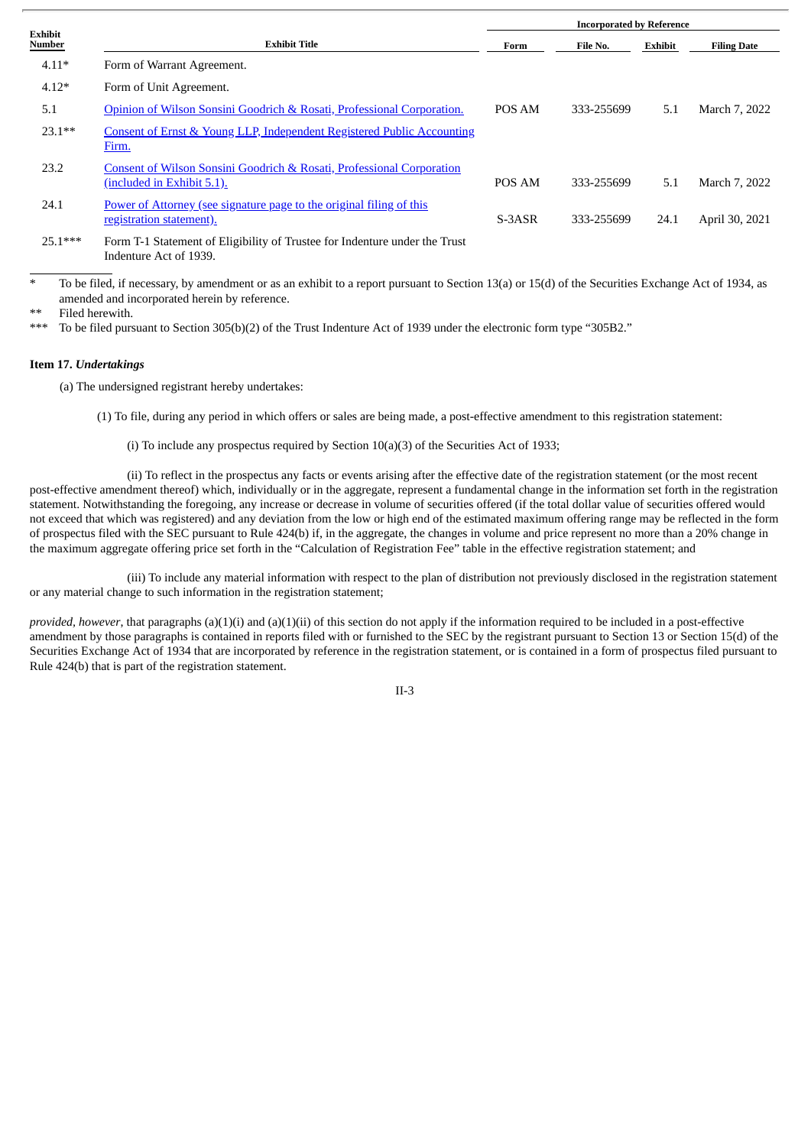|                          |                                                                                                      | <b>Incorporated by Reference</b> |            |         |                    |
|--------------------------|------------------------------------------------------------------------------------------------------|----------------------------------|------------|---------|--------------------|
| <b>Exhibit</b><br>Number | <b>Exhibit Title</b>                                                                                 | Form                             | File No.   | Exhibit | <b>Filing Date</b> |
| $4.11*$                  | Form of Warrant Agreement.                                                                           |                                  |            |         |                    |
| $4.12*$                  | Form of Unit Agreement.                                                                              |                                  |            |         |                    |
| 5.1                      | Opinion of Wilson Sonsini Goodrich & Rosati, Professional Corporation.                               | POS AM                           | 333-255699 | 5.1     | March 7, 2022      |
| $23.1**$                 | Consent of Ernst & Young LLP, Independent Registered Public Accounting<br>Firm.                      |                                  |            |         |                    |
| 23.2                     | Consent of Wilson Sonsini Goodrich & Rosati, Professional Corporation<br>(included in Exhibit 5.1).  | <b>POS AM</b>                    | 333-255699 | 5.1     | March 7, 2022      |
| 24.1                     | Power of Attorney (see signature page to the original filing of this<br>registration statement).     | S-3ASR                           | 333-255699 | 24.1    | April 30, 2021     |
| $25.1***$                | Form T-1 Statement of Eligibility of Trustee for Indenture under the Trust<br>Indenture Act of 1939. |                                  |            |         |                    |

\* To be filed, if necessary, by amendment or as an exhibit to a report pursuant to Section 13(a) or 15(d) of the Securities Exchange Act of 1934, as amended and incorporated herein by reference.

Filed herewith.

\*\*\* To be filed pursuant to Section 305(b)(2) of the Trust Indenture Act of 1939 under the electronic form type "305B2."

#### **Item 17.** *Undertakings*

(a) The undersigned registrant hereby undertakes:

(1) To file, during any period in which offers or sales are being made, a post-effective amendment to this registration statement:

(i) To include any prospectus required by Section 10(a)(3) of the Securities Act of 1933;

(ii) To reflect in the prospectus any facts or events arising after the effective date of the registration statement (or the most recent post-effective amendment thereof) which, individually or in the aggregate, represent a fundamental change in the information set forth in the registration statement. Notwithstanding the foregoing, any increase or decrease in volume of securities offered (if the total dollar value of securities offered would not exceed that which was registered) and any deviation from the low or high end of the estimated maximum offering range may be reflected in the form of prospectus filed with the SEC pursuant to Rule 424(b) if, in the aggregate, the changes in volume and price represent no more than a 20% change in the maximum aggregate offering price set forth in the "Calculation of Registration Fee" table in the effective registration statement; and

(iii) To include any material information with respect to the plan of distribution not previously disclosed in the registration statement or any material change to such information in the registration statement;

*provided, however*, that paragraphs (a)(1)(i) and (a)(1)(ii) of this section do not apply if the information required to be included in a post-effective amendment by those paragraphs is contained in reports filed with or furnished to the SEC by the registrant pursuant to Section 13 or Section 15(d) of the Securities Exchange Act of 1934 that are incorporated by reference in the registration statement, or is contained in a form of prospectus filed pursuant to Rule 424(b) that is part of the registration statement.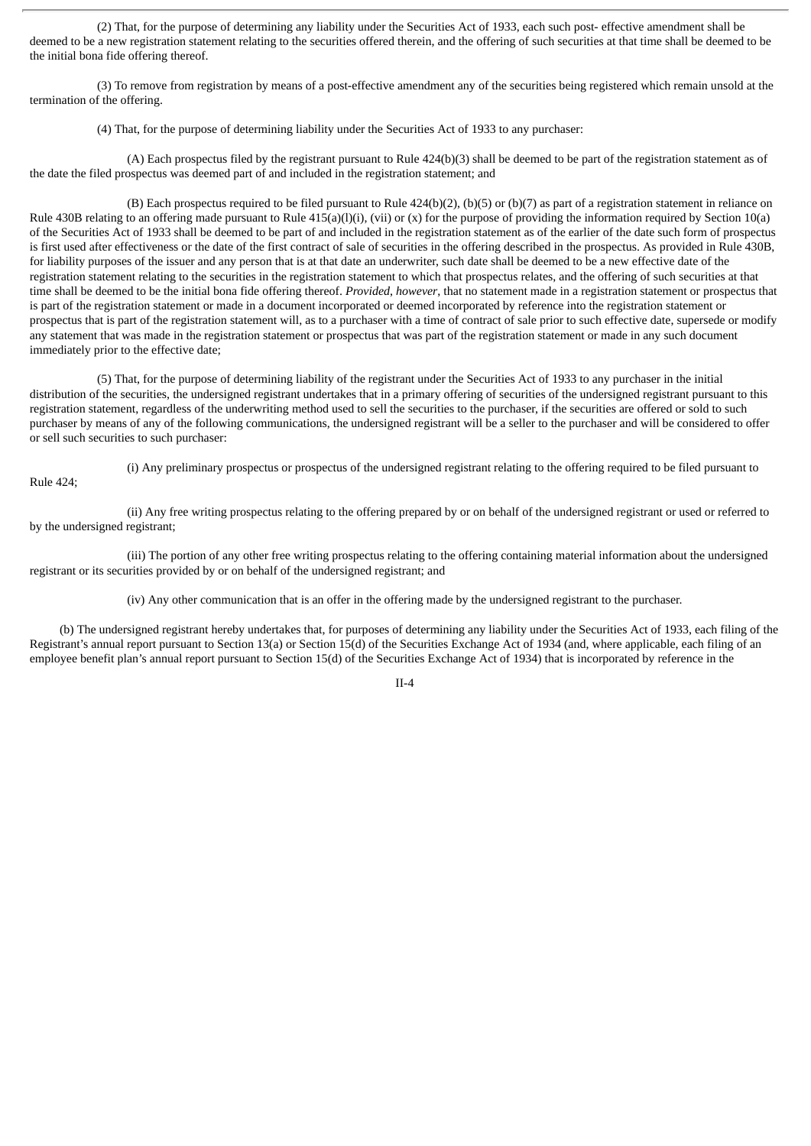(2) That, for the purpose of determining any liability under the Securities Act of 1933, each such post- effective amendment shall be deemed to be a new registration statement relating to the securities offered therein, and the offering of such securities at that time shall be deemed to be the initial bona fide offering thereof.

(3) To remove from registration by means of a post-effective amendment any of the securities being registered which remain unsold at the termination of the offering.

(4) That, for the purpose of determining liability under the Securities Act of 1933 to any purchaser:

(A) Each prospectus filed by the registrant pursuant to Rule 424(b)(3) shall be deemed to be part of the registration statement as of the date the filed prospectus was deemed part of and included in the registration statement; and

(B) Each prospectus required to be filed pursuant to Rule 424(b)(2), (b)(5) or (b)(7) as part of a registration statement in reliance on Rule 430B relating to an offering made pursuant to Rule 415(a)(l)(i), (vii) or (x) for the purpose of providing the information required by Section 10(a) of the Securities Act of 1933 shall be deemed to be part of and included in the registration statement as of the earlier of the date such form of prospectus is first used after effectiveness or the date of the first contract of sale of securities in the offering described in the prospectus. As provided in Rule 430B, for liability purposes of the issuer and any person that is at that date an underwriter, such date shall be deemed to be a new effective date of the registration statement relating to the securities in the registration statement to which that prospectus relates, and the offering of such securities at that time shall be deemed to be the initial bona fide offering thereof. *Provided*, *however*, that no statement made in a registration statement or prospectus that is part of the registration statement or made in a document incorporated or deemed incorporated by reference into the registration statement or prospectus that is part of the registration statement will, as to a purchaser with a time of contract of sale prior to such effective date, supersede or modify any statement that was made in the registration statement or prospectus that was part of the registration statement or made in any such document immediately prior to the effective date;

(5) That, for the purpose of determining liability of the registrant under the Securities Act of 1933 to any purchaser in the initial distribution of the securities, the undersigned registrant undertakes that in a primary offering of securities of the undersigned registrant pursuant to this registration statement, regardless of the underwriting method used to sell the securities to the purchaser, if the securities are offered or sold to such purchaser by means of any of the following communications, the undersigned registrant will be a seller to the purchaser and will be considered to offer or sell such securities to such purchaser:

Rule 424;

(i) Any preliminary prospectus or prospectus of the undersigned registrant relating to the offering required to be filed pursuant to

(ii) Any free writing prospectus relating to the offering prepared by or on behalf of the undersigned registrant or used or referred to by the undersigned registrant;

(iii) The portion of any other free writing prospectus relating to the offering containing material information about the undersigned registrant or its securities provided by or on behalf of the undersigned registrant; and

(iv) Any other communication that is an offer in the offering made by the undersigned registrant to the purchaser.

(b) The undersigned registrant hereby undertakes that, for purposes of determining any liability under the Securities Act of 1933, each filing of the Registrant's annual report pursuant to Section 13(a) or Section 15(d) of the Securities Exchange Act of 1934 (and, where applicable, each filing of an employee benefit plan's annual report pursuant to Section 15(d) of the Securities Exchange Act of 1934) that is incorporated by reference in the

 $II - 4$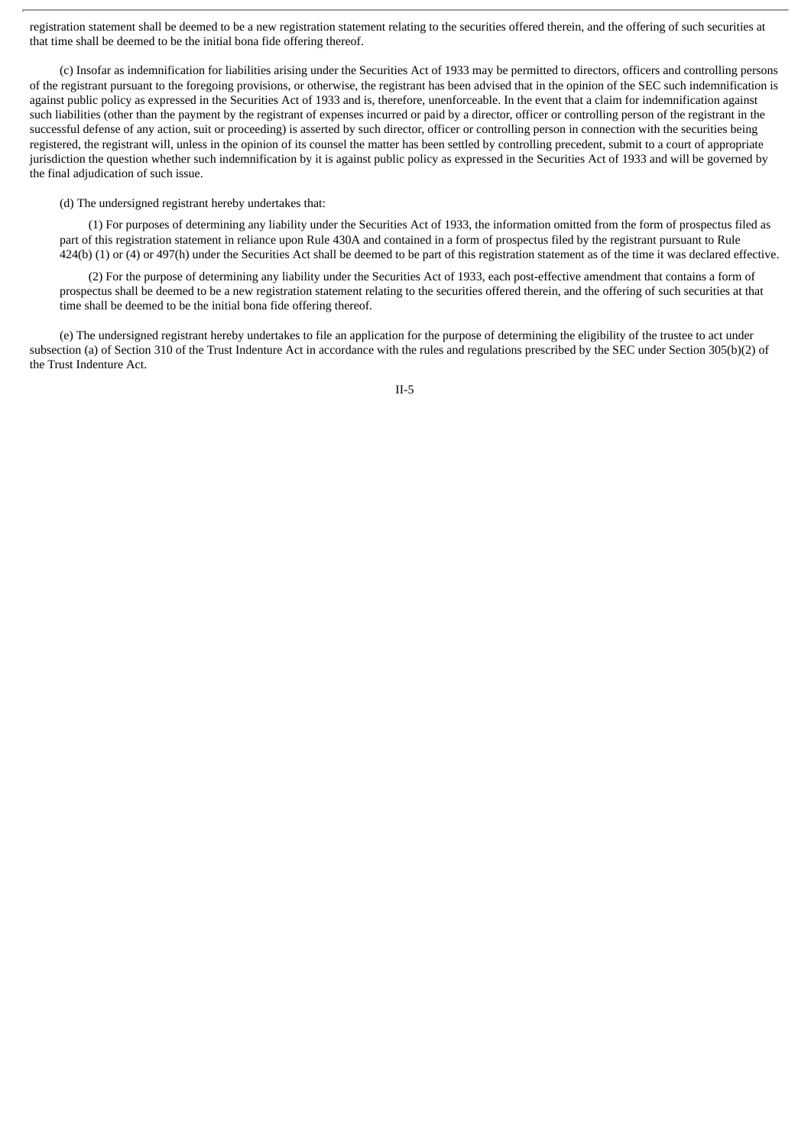registration statement shall be deemed to be a new registration statement relating to the securities offered therein, and the offering of such securities at that time shall be deemed to be the initial bona fide offering thereof.

(c) Insofar as indemnification for liabilities arising under the Securities Act of 1933 may be permitted to directors, officers and controlling persons of the registrant pursuant to the foregoing provisions, or otherwise, the registrant has been advised that in the opinion of the SEC such indemnification is against public policy as expressed in the Securities Act of 1933 and is, therefore, unenforceable. In the event that a claim for indemnification against such liabilities (other than the payment by the registrant of expenses incurred or paid by a director, officer or controlling person of the registrant in the successful defense of any action, suit or proceeding) is asserted by such director, officer or controlling person in connection with the securities being registered, the registrant will, unless in the opinion of its counsel the matter has been settled by controlling precedent, submit to a court of appropriate jurisdiction the question whether such indemnification by it is against public policy as expressed in the Securities Act of 1933 and will be governed by the final adjudication of such issue.

(d) The undersigned registrant hereby undertakes that:

(1) For purposes of determining any liability under the Securities Act of 1933, the information omitted from the form of prospectus filed as part of this registration statement in reliance upon Rule 430A and contained in a form of prospectus filed by the registrant pursuant to Rule 424(b) (1) or (4) or 497(h) under the Securities Act shall be deemed to be part of this registration statement as of the time it was declared effective.

(2) For the purpose of determining any liability under the Securities Act of 1933, each post-effective amendment that contains a form of prospectus shall be deemed to be a new registration statement relating to the securities offered therein, and the offering of such securities at that time shall be deemed to be the initial bona fide offering thereof.

(e) The undersigned registrant hereby undertakes to file an application for the purpose of determining the eligibility of the trustee to act under subsection (a) of Section 310 of the Trust Indenture Act in accordance with the rules and regulations prescribed by the SEC under Section 305(b)(2) of the Trust Indenture Act.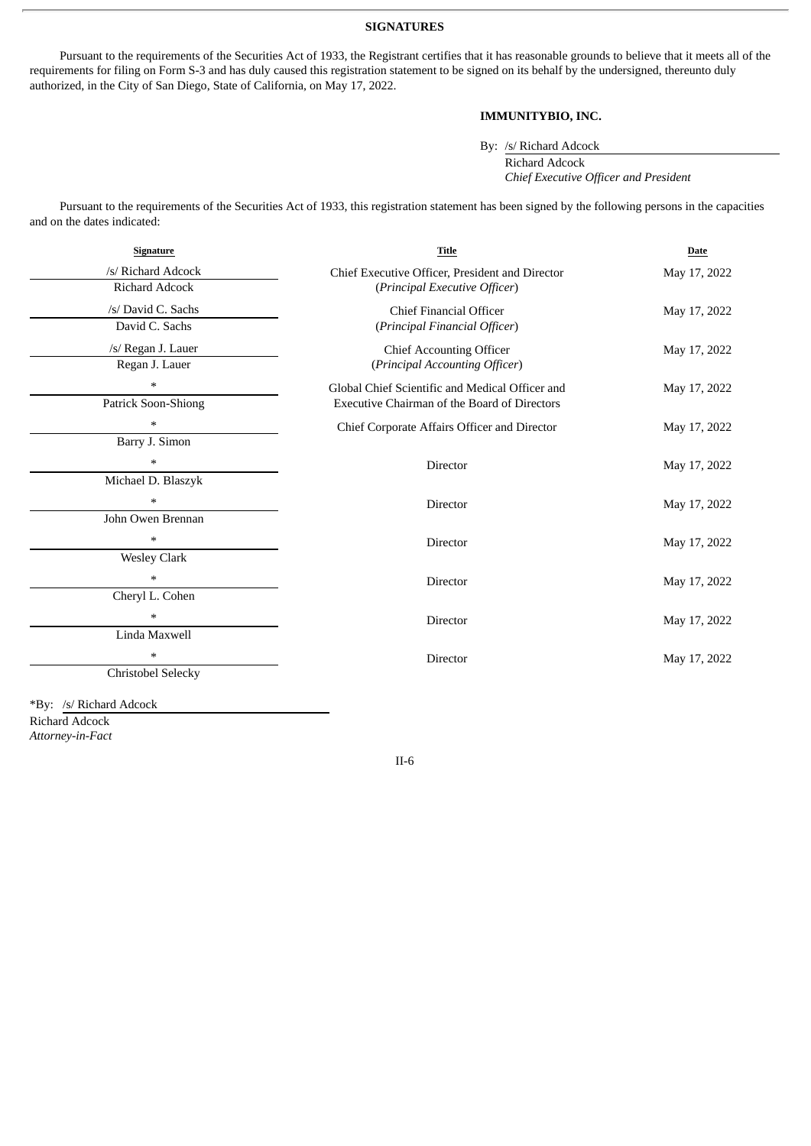#### **SIGNATURES**

Pursuant to the requirements of the Securities Act of 1933, the Registrant certifies that it has reasonable grounds to believe that it meets all of the requirements for filing on Form S-3 and has duly caused this registration statement to be signed on its behalf by the undersigned, thereunto duly authorized, in the City of San Diego, State of California, on May 17, 2022.

## **IMMUNITYBIO, INC.**

By: /s/ Richard Adcock

Richard Adcock *Chief Executive Officer and President*

Pursuant to the requirements of the Securities Act of 1933, this registration statement has been signed by the following persons in the capacities and on the dates indicated:

| <b>Signature</b>                            | <b>Title</b>                                                                                    | Date         |  |
|---------------------------------------------|-------------------------------------------------------------------------------------------------|--------------|--|
| /s/ Richard Adcock<br><b>Richard Adcock</b> | Chief Executive Officer, President and Director<br>(Principal Executive Officer)                | May 17, 2022 |  |
| /s/ David C. Sachs<br>David C. Sachs        | Chief Financial Officer<br>(Principal Financial Officer)                                        | May 17, 2022 |  |
| /s/ Regan J. Lauer<br>Regan J. Lauer        | <b>Chief Accounting Officer</b><br>(Principal Accounting Officer)                               | May 17, 2022 |  |
| $\ast$<br>Patrick Soon-Shiong               | Global Chief Scientific and Medical Officer and<br>Executive Chairman of the Board of Directors | May 17, 2022 |  |
| $\ast$                                      | Chief Corporate Affairs Officer and Director                                                    | May 17, 2022 |  |
| Barry J. Simon                              |                                                                                                 |              |  |
| *                                           | Director                                                                                        | May 17, 2022 |  |
| Michael D. Blaszyk                          |                                                                                                 |              |  |
| $\ast$                                      | Director                                                                                        | May 17, 2022 |  |
| John Owen Brennan                           |                                                                                                 |              |  |
| *                                           | Director                                                                                        | May 17, 2022 |  |
| <b>Wesley Clark</b>                         |                                                                                                 |              |  |
| $\ast$                                      | Director                                                                                        | May 17, 2022 |  |
| Cheryl L. Cohen                             |                                                                                                 |              |  |
| *                                           | Director                                                                                        | May 17, 2022 |  |
| Linda Maxwell                               |                                                                                                 |              |  |
| $\ast$                                      | Director                                                                                        | May 17, 2022 |  |
| Christobel Selecky                          |                                                                                                 |              |  |
|                                             |                                                                                                 |              |  |

\*By: /s/ Richard Adcock Richard Adcock *Attorney-in-Fact*